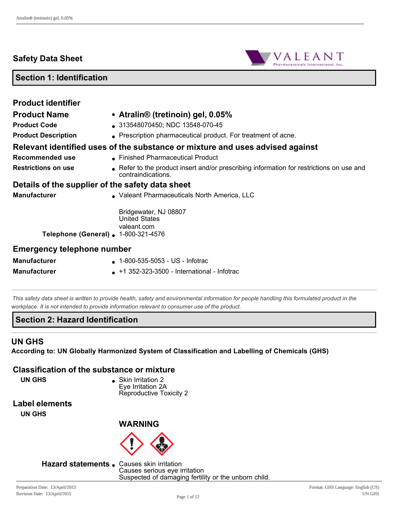# **Safety Data Sheet**



# **Section 1: Identification**

| <b>Product identifier</b>                        |                                                                                                              |  |
|--------------------------------------------------|--------------------------------------------------------------------------------------------------------------|--|
| <b>Product Name</b>                              | • Atralin <sup>®</sup> (tretinoin) gel, 0.05%                                                                |  |
| <b>Product Code</b>                              | 313548070450; NDC 13548-070-45                                                                               |  |
| <b>Product Description</b>                       | . Prescription pharmaceutical product. For treatment of acne.                                                |  |
|                                                  | Relevant identified uses of the substance or mixture and uses advised against                                |  |
| Recommended use                                  | • Finished Pharmaceutical Product                                                                            |  |
| <b>Restrictions on use</b>                       | Refer to the product insert and/or prescribing information for restrictions on use and<br>contraindications. |  |
| Details of the supplier of the safety data sheet |                                                                                                              |  |
| <b>Manufacturer</b>                              | • Valeant Pharmaceuticals North America, LLC                                                                 |  |
| Telephone (General) . 1-800-321-4576             | Bridgewater, NJ 08807<br><b>United States</b><br>valeant.com                                                 |  |
| <b>Emergency telephone number</b>                |                                                                                                              |  |
| <b>Manufacturer</b>                              | $\bullet$ 1-800-535-5053 - US - Infotrac                                                                     |  |
| <b>Manufacturer</b>                              | $\bullet$ +1 352-323-3500 - International - Infotrac                                                         |  |

*This safety data sheet is written to provide health, safety and environmental information for people handling this formulated product in the workplace. It is not intended to provide information relevant to consumer use of the product.*

#### **Section 2: Hazard Identification**

#### **UN GHS**

**According to: UN Globally Harmonized System of Classification and Labelling of Chemicals (GHS)**

#### **Classification of the substance or mixture**

**UN GHS b** Skin Irritation 2 Eye Irritation 2A Reproductive Toxicity 2

**Label elements**

**UN GHS**



**WARNING**

**Hazard statements .** Causes skin irritation

Causes serious eye irritation Suspected of damaging fertility or the unborn child.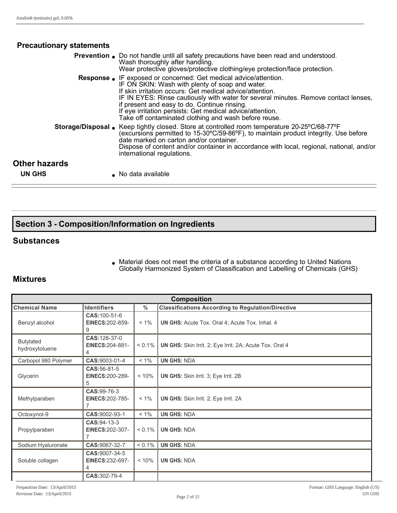# **Precautionary statements**

|                      | <b>Prevention.</b> Do not handle until all safety precautions have been read and understood.<br>Wash thoroughly after handling.<br>Wear protective gloves/protective clothing/eye protection/face protection.                                                                                                                                                                                                                                       |
|----------------------|-----------------------------------------------------------------------------------------------------------------------------------------------------------------------------------------------------------------------------------------------------------------------------------------------------------------------------------------------------------------------------------------------------------------------------------------------------|
|                      | <b>Response.</b> IF exposed or concerned: Get medical advice/attention.<br>IF ON SKIN: Wash with plenty of soap and water.<br>If skin irritation occurs: Get medical advice/attention.<br>IF IN EYES: Rinse cautiously with water for several minutes. Remove contact lenses,<br>if present and easy to do. Continue rinsing.<br>If eye irritation persists: Get medical advice/attention.<br>Take off contaminated clothing and wash before reuse. |
|                      | Storage/Disposal • Keep tightly closed. Store at controlled room temperature 20-25°C/68-77°F<br>(excursions permitted to 15-30°C/59-86°F), to maintain product integrity. Use before<br>date marked on carton and/or container.<br>Dispose of content and/or container in accordance with local, regional, national, and/or<br>international regulations.                                                                                           |
| <b>Other hazards</b> |                                                                                                                                                                                                                                                                                                                                                                                                                                                     |
| <b>UN GHS</b>        | No data available                                                                                                                                                                                                                                                                                                                                                                                                                                   |

# **Section 3 Composition/Information on Ingredients**

#### **Substances**

• Material does not meet the criteria of a substance according to United Nations Globally Harmonized System of Classification and Labelling of Chemicals (GHS)

# **Mixtures**

| <b>Composition</b>                 |                                                          |               |                                                          |
|------------------------------------|----------------------------------------------------------|---------------|----------------------------------------------------------|
| <b>Chemical Name</b>               | <b>Identifiers</b>                                       | $\frac{0}{0}$ | <b>Classifications According to Regulation/Directive</b> |
| Benzyl alcohol                     | CAS: 100-51-6<br><b>EINECS: 202-859-</b><br>9            | $< 1\%$       | <b>UN GHS:</b> Acute Tox. Oral 4; Acute Tox. Inhal. 4    |
| <b>Butylated</b><br>hydroxytoluene | CAS: 128-37-0<br><b>EINECS: 204-881-</b><br>4            | $< 0.1\%$     | UN GHS: Skin Irrit. 2; Eye Irrit. 2A; Acute Tox. Oral 4  |
| Carbopol 980 Polymer               | CAS: 9003-01-4                                           | $< 1\%$       | <b>UN GHS: NDA</b>                                       |
| Glycerin                           | CAS: 56-81-5<br><b>EINECS: 200-289-</b><br>5             | < 10%         | <b>UN GHS:</b> Skin Irrit. 3; Eye Irrit. 2B              |
| Methylparaben                      | CAS: 99-76-3<br><b>EINECS:202-785-</b><br>$\overline{7}$ | $< 1\%$       | <b>UN GHS:</b> Skin Irrit. 2; Eye Irrit. 2A              |
| Octoxynol-9                        | CAS: 9002-93-1                                           | $< 1\%$       | <b>UN GHS: NDA</b>                                       |
| Propylparaben                      | CAS: 94-13-3<br><b>EINECS: 202-307-</b>                  | $< 0.1\%$     | <b>UN GHS: NDA</b>                                       |
| Sodium Hyaluronate                 | CAS: 9067-32-7                                           | $< 0.1\%$     | <b>UN GHS: NDA</b>                                       |
| Soluble collagen                   | CAS: 9007-34-5<br><b>EINECS:232-697-</b><br>4            | < 10%         | <b>UN GHS: NDA</b>                                       |
|                                    | CAS:302-79-4                                             |               |                                                          |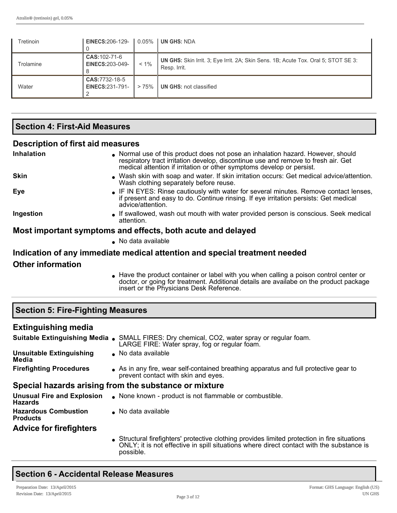| Tretinoin | EINECS:206-129- $\vert$ 0.05%            |         | <b>UN GHS: NDA</b>                                                                                        |
|-----------|------------------------------------------|---------|-----------------------------------------------------------------------------------------------------------|
| Trolamine | CAS: 102-71-6<br><b>EINECS:203-049-</b>  | $< 1\%$ | <b>UN GHS:</b> Skin Irrit. 3; Eye Irrit. 2A; Skin Sens. 1B; Acute Tox. Oral 5; STOT SE 3:<br>Resp. Irrit. |
| Water     | CAS: 7732-18-5<br><b>EINECS:231-791-</b> | >75%    | <b>UN GHS: not classified</b>                                                                             |

# **Section 4: First-Aid Measures**

#### **Description of first aid measures**

| Inhalation               | Normal use of this product does not pose an inhalation hazard. However, should<br>respiratory tract irritation develop, discontinue use and remove to fresh air. Get<br>medical attention if irritation or other symptoms develop or persist. |
|--------------------------|-----------------------------------------------------------------------------------------------------------------------------------------------------------------------------------------------------------------------------------------------|
| <b>Skin</b>              | . Wash skin with soap and water. If skin irritation occurs: Get medical advice/attention.<br>Wash clothing separately before reuse.                                                                                                           |
| Eye                      | • IF IN EYES: Rinse cautiously with water for several minutes. Remove contact lenses,<br>if present and easy to do. Continue rinsing. If eye irritation persists: Get medical<br>advice/attention.                                            |
| Ingestion                | • If swallowed, wash out mouth with water provided person is conscious. Seek medical<br>attention.                                                                                                                                            |
|                          | Most important symptoms and effects, both acute and delayed                                                                                                                                                                                   |
|                          | No data available                                                                                                                                                                                                                             |
|                          | Indication of any immediate medical attention and special treatment needed                                                                                                                                                                    |
| <b>Other information</b> |                                                                                                                                                                                                                                               |

Have the product container or label with you when calling a poison control center or doctor, or going for treatment. Additional details are availabe on the product package insert or the Physicians Desk Reference.

| <b>Section 5: Fire-Fighting Measures</b>            |                                                                                                                                                                                                      |  |  |  |
|-----------------------------------------------------|------------------------------------------------------------------------------------------------------------------------------------------------------------------------------------------------------|--|--|--|
| <b>Extinguishing media</b>                          |                                                                                                                                                                                                      |  |  |  |
|                                                     | SMALL FIRES: Dry chemical, CO2, water spray or regular foam.<br>LARGE FIRE: Water spray, fog or regular foam.                                                                                        |  |  |  |
| <b>Unsuitable Extinguishing</b><br>Media            | No data available                                                                                                                                                                                    |  |  |  |
| <b>Firefighting Procedures</b>                      | As in any fire, wear self-contained breathing apparatus and full protective gear to<br>prevent contact with skin and eyes.                                                                           |  |  |  |
|                                                     | Special hazards arising from the substance or mixture                                                                                                                                                |  |  |  |
| <b>Unusual Fire and Explosion</b><br><b>Hazards</b> | None known - product is not flammable or combustible.                                                                                                                                                |  |  |  |
| <b>Hazardous Combustion</b><br><b>Products</b>      | No data available                                                                                                                                                                                    |  |  |  |
| <b>Advice for firefighters</b>                      |                                                                                                                                                                                                      |  |  |  |
|                                                     | Structural firefighters' protective clothing provides limited protection in fire situations<br>ONLY; it is not effective in spill situations where direct contact with the substance is<br>possible. |  |  |  |

#### **Section 6 Accidental Release Measures**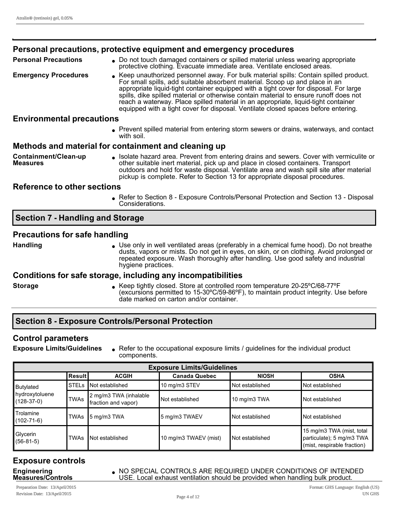|                                         | Personal precautions, protective equipment and emergency procedures                                                                                                                                                                                                                                                                                                                                                                                                                                                                  |
|-----------------------------------------|--------------------------------------------------------------------------------------------------------------------------------------------------------------------------------------------------------------------------------------------------------------------------------------------------------------------------------------------------------------------------------------------------------------------------------------------------------------------------------------------------------------------------------------|
| <b>Personal Precautions</b>             | • Do not touch damaged containers or spilled material unless wearing appropriate<br>protective clothing. Evacuate immediate area. Ventilate enclosed areas.                                                                                                                                                                                                                                                                                                                                                                          |
| <b>Emergency Procedures</b>             | ↓ Keep unauthorized personnel away. For bulk material spills: Contain spilled product.<br>For small spills, add suitable absorbent material. Scoop up and place in an<br>appropriate liquid-tight container equipped with a tight cover for disposal. For large<br>spills, dike spilled material or otherwise contain material to ensure runoff does not<br>reach a waterway. Place spilled material in an appropriate, liquid-tight container<br>equipped with a tight cover for disposal. Ventilate closed spaces before entering. |
| <b>Environmental precautions</b>        |                                                                                                                                                                                                                                                                                                                                                                                                                                                                                                                                      |
|                                         | Prevent spilled material from entering storm sewers or drains, waterways, and contact<br>with soil.                                                                                                                                                                                                                                                                                                                                                                                                                                  |
|                                         | Methods and material for containment and cleaning up                                                                                                                                                                                                                                                                                                                                                                                                                                                                                 |
| Containment/Clean-up<br><b>Measures</b> | • Isolate hazard area. Prevent from entering drains and sewers. Cover with vermiculite or<br>other suitable inert material, pick up and place in closed containers. Transport<br>outdoors and hold for waste disposal. Ventilate area and wash spill site after material                                                                                                                                                                                                                                                             |

#### **Reference to other sections**

Refer to Section 8 - Exposure Controls/Personal Protection and Section 13 - Disposal Considerations.

pickup is complete. Refer to Section 13 for appropriate disposal procedures.

#### **Section 7 Handling and Storage**

#### **Precautions for safe handling**

**Handling lack Lines in Use only in well ventilated areas (preferably in a chemical fume hood). Do not breathe** dusts, vapors or mists. Do not get in eyes, on skin, or on clothing. Avoid prolonged or repeated exposure. Wash thoroughly after handling. Use good safety and industrial hygiene practices.

#### **Conditions for safe storage, including any incompatibilities**

**Storage lace in Acceptightly closed. Store at controlled room temperature 20-25°C/68-77°F** (excursions permitted to  $15\text{-}30^{\circ}\text{C}/59\text{-}86^{\circ}\text{F}$ ), to maintain product integrity. Use before date marked on carton and/or container.

#### **Section 8 Exposure Controls/Personal Protection**

#### **Control parameters**

**Exposure Limits/Guidelines** Refer to the occupational exposure limits / guidelines for the individual product components.

| <b>Exposure Limits/Guidelines</b>  |              |                                               |                       |                 |                                                                                       |
|------------------------------------|--------------|-----------------------------------------------|-----------------------|-----------------|---------------------------------------------------------------------------------------|
|                                    | ∣Result I    | <b>ACGIH</b>                                  | <b>Canada Quebec</b>  | <b>NIOSH</b>    | <b>OSHA</b>                                                                           |
| <b>Butylated</b>                   | <b>STELs</b> | Not established                               | 10 mg/m3 STEV         | Not established | Not established                                                                       |
| hydroxytoluene<br>$(128 - 37 - 0)$ | TWAs         | 2 mg/m3 TWA (inhalable<br>fraction and vapor) | Not established       | 10 mg/m3 TWA    | Not established                                                                       |
| Trolamine<br>$(102 - 71 - 6)$      | TWAs         | ∥5 mg/m3 TWA                                  | 5 mg/m3 TWAEV         | Not established | Not established                                                                       |
| Glycerin<br>$(56-81-5)$            | TWAs         | Not established                               | 10 mg/m3 TWAEV (mist) | Not established | 15 mg/m3 TWA (mist, total<br>particulate); 5 mg/m3 TWA<br>(mist, respirable fraction) |

#### **Exposure controls Engineering Measures/Controls**

<sup>l</sup> NO SPECIAL CONTROLS ARE REQUIRED UNDER CONDITIONS OF INTENDED USE. Local exhaust ventilation should be provided when handling bulk product.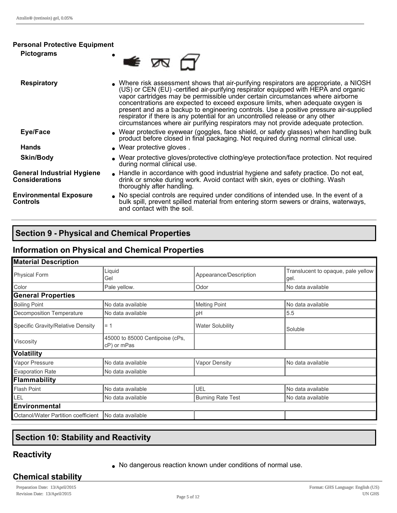#### **Personal Protective Equipment**

**Pictograms example 2** 

| <b>Respiratory</b>                                         | • Where risk assessment shows that air-purifying respirators are appropriate, a NIOSH<br>(US) or CEN (EU) -certified air-purifying respirator equipped with HEPA and organic<br>vapor cartridges may be permissible under certain circumstances where airborne<br>concentrations are expected to exceed exposure limits, when adequate oxygen is<br>present and as a backup to engineering controls. Use a positive pressure air-supplied<br>respirator if there is any potential for an uncontrolled release or any other<br>circumstances where air purifying respirators may not provide adequate protection. |
|------------------------------------------------------------|------------------------------------------------------------------------------------------------------------------------------------------------------------------------------------------------------------------------------------------------------------------------------------------------------------------------------------------------------------------------------------------------------------------------------------------------------------------------------------------------------------------------------------------------------------------------------------------------------------------|
| Eye/Face                                                   | • Wear protective eyewear (goggles, face shield, or safety glasses) when handling bulk<br>product before closed in final packaging. Not required during normal clinical use.                                                                                                                                                                                                                                                                                                                                                                                                                                     |
| <b>Hands</b>                                               | • Wear protective gloves.                                                                                                                                                                                                                                                                                                                                                                                                                                                                                                                                                                                        |
| <b>Skin/Body</b>                                           | . Wear protective gloves/protective clothing/eye protection/face protection. Not required<br>during normal clinical use.                                                                                                                                                                                                                                                                                                                                                                                                                                                                                         |
| <b>General Industrial Hygiene</b><br><b>Considerations</b> | • Handle in accordance with good industrial hygiene and safety practice. Do not eat,<br>drink or smoke during work. Avoid contact with skin, eyes or clothing. Wash<br>thoroughly after handling.                                                                                                                                                                                                                                                                                                                                                                                                                |
| <b>Environmental Exposure</b><br><b>Controls</b>           | No special controls are required under conditions of intended use. In the event of a<br>bulk spill, prevent spilled material from entering storm sewers or drains, waterways,<br>and contact with the soil.                                                                                                                                                                                                                                                                                                                                                                                                      |

# **Section 9 Physical and Chemical Properties**

# **Information on Physical and Chemical Properties**

| <b>Material Description</b>         |                                                |                          |                                            |  |
|-------------------------------------|------------------------------------------------|--------------------------|--------------------------------------------|--|
| Liquid<br>Physical Form<br>Gel      |                                                | Appearance/Description   | Translucent to opaque, pale yellow<br>gel. |  |
| Color                               | Pale yellow.                                   | Odor                     | No data available                          |  |
| <b>General Properties</b>           |                                                |                          |                                            |  |
| <b>Boiling Point</b>                | No data available                              | <b>Melting Point</b>     | No data available                          |  |
| Decomposition Temperature           | No data available                              | pH                       | 5.5                                        |  |
| Specific Gravity/Relative Density   | $= 1$                                          | <b>Water Solubility</b>  | Soluble                                    |  |
| Viscosity                           | 45000 to 85000 Centipoise (cPs,<br>cP) or mPas |                          |                                            |  |
| <b>Volatility</b>                   |                                                |                          |                                            |  |
| Vapor Pressure                      | No data available                              | <b>Vapor Density</b>     | No data available                          |  |
| Evaporation Rate                    | No data available                              |                          |                                            |  |
| Flammability                        |                                                |                          |                                            |  |
| Flash Point                         | No data available                              | <b>UEL</b>               | No data available                          |  |
| LEL                                 | No data available                              | <b>Burning Rate Test</b> | No data available                          |  |
| Environmental                       |                                                |                          |                                            |  |
| Octanol/Water Partition coefficient | No data available                              |                          |                                            |  |

# **Section 10: Stability and Reactivity**

# **Reactivity**

• No dangerous reaction known under conditions of normal use.

#### **Chemical stability**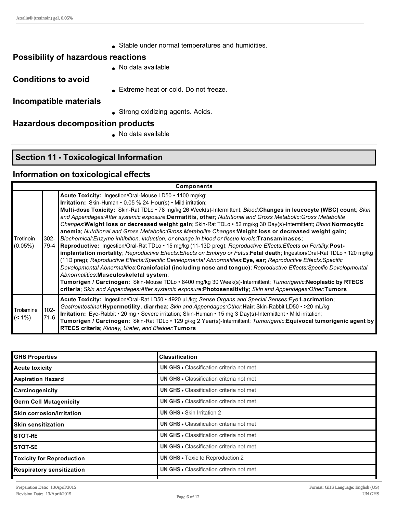• Stable under normal temperatures and humidities.

#### **Possibility of hazardous reactions**

 $\bullet$  No data available

**Conditions to avoid**

**Extreme heat or cold. Do not freeze.** 

#### **Incompatible materials**

**strong oxidizing agents. Acids.** 

# **Hazardous decomposition products**

 $\bullet$  No data available

# **Section 11 Toxicological Information**

#### **Information on toxicological effects**

|                         | <b>Components</b> |                                                                                                                                                                                                                                                                                                                                                                                                                                                                                                                                                                                                                                                                                                                                                                                                                                                                                                                                                                                                                                                                                                                                                                                                                                                                                                                                                                                                                                                                                   |  |  |  |
|-------------------------|-------------------|-----------------------------------------------------------------------------------------------------------------------------------------------------------------------------------------------------------------------------------------------------------------------------------------------------------------------------------------------------------------------------------------------------------------------------------------------------------------------------------------------------------------------------------------------------------------------------------------------------------------------------------------------------------------------------------------------------------------------------------------------------------------------------------------------------------------------------------------------------------------------------------------------------------------------------------------------------------------------------------------------------------------------------------------------------------------------------------------------------------------------------------------------------------------------------------------------------------------------------------------------------------------------------------------------------------------------------------------------------------------------------------------------------------------------------------------------------------------------------------|--|--|--|
| Tretinoin<br>$(0.05\%)$ | 302-<br>79-4      | Acute Toxicity: Ingestion/Oral-Mouse LD50 · 1100 mg/kg;<br><b>Irritation:</b> Skin-Human • 0.05 % 24 Hour(s) • Mild irritation;<br>Multi-dose Toxicity: Skin-Rat TDLo · 78 mg/kg 26 Week(s)-Intermittent; Blood:Changes in leucocyte (WBC) count; Skin<br>and Appendages: After systemic exposure: Dermatitis, other; Nutritional and Gross Metabolic: Gross Metabolite<br>Changes: Weight loss or decreased weight gain; Skin-Rat TDLo • 52 mg/kg 30 Day(s)-Intermittent; Blood: Normocytic<br>anemia; Nutritional and Gross Metabolic: Gross Metabolite Changes: Weight loss or decreased weight gain;<br>Biochemical: Enzyme inhibition, induction, or change in blood or tissue levels: Transaminases;<br>Reproductive: Ingestion/Oral-Rat TDLo • 15 mg/kg (11-13D preg); Reproductive Effects: Effects on Fertility: Post-<br>implantation mortality; Reproductive Effects: Effects on Embryo or Fetus: Fetal death; Ingestion/Oral-Rat TDLo · 120 mg/kg<br>(11D preg); Reproductive Effects: Specific Developmental Abnormalities: Eye, ear; Reproductive Effects: Specific<br>Developmental Abnormalities:Craniofacial (including nose and tongue); Reproductive Effects:Specific Developmental<br>Abnormalities: Musculoskeletal system;<br>Tumorigen / Carcinogen: Skin-Mouse TDLo • 8400 mg/kg 30 Week(s)-Intermittent; Tumorigenic:Neoplastic by RTECS<br>criteria; Skin and Appendages: After systemic exposure: Photosensitivity; Skin and Appendages: Other: Tumors |  |  |  |
| Trolamine<br>$(< 1\%)$  | $102 -$<br>$71-6$ | Acute Toxicity: Ingestion/Oral-Rat LD50 • 4920 µL/kg; Sense Organs and Special Senses: Eye: Lacrimation;<br>Gastrointestinal: Hypermotility, diarrhea; Skin and Appendages: Other: Hair; Skin-Rabbit LD50 • > 20 mL/kg;<br>Irritation: Eye-Rabbit • 20 mg • Severe irritation; Skin-Human • 15 mg 3 Day(s)-Intermittent • Mild irritation;<br>Tumorigen / Carcinogen: Skin-Rat TDLo · 129 g/kg 2 Year(s)-Intermittent; Tumorigenic: Equivocal tumorigenic agent by<br>RTECS criteria; Kidney, Ureter, and Bladder:Tumors                                                                                                                                                                                                                                                                                                                                                                                                                                                                                                                                                                                                                                                                                                                                                                                                                                                                                                                                                          |  |  |  |

| <b>GHS Properties</b>            | <b>Classification</b>                           |
|----------------------------------|-------------------------------------------------|
| <b>Acute toxicity</b>            | <b>UN GHS • Classification criteria not met</b> |
| <b>Aspiration Hazard</b>         | UN GHS . Classification criteria not met        |
| Carcinogenicity                  | <b>UN GHS • Classification criteria not met</b> |
| <b>Germ Cell Mutagenicity</b>    | UN GHS · Classification criteria not met        |
| <b>Skin corrosion/Irritation</b> | <b>UN GHS • Skin Irritation 2</b>               |
| <b>Skin sensitization</b>        | <b>UN GHS • Classification criteria not met</b> |
| <b>STOT-RE</b>                   | UN GHS . Classification criteria not met        |
| <b>STOT-SE</b>                   | <b>UN GHS • Classification criteria not met</b> |
| <b>Toxicity for Reproduction</b> | <b>UN GHS • Toxic to Reproduction 2</b>         |
| <b>Respiratory sensitization</b> | <b>UN GHS • Classification criteria not met</b> |
|                                  |                                                 |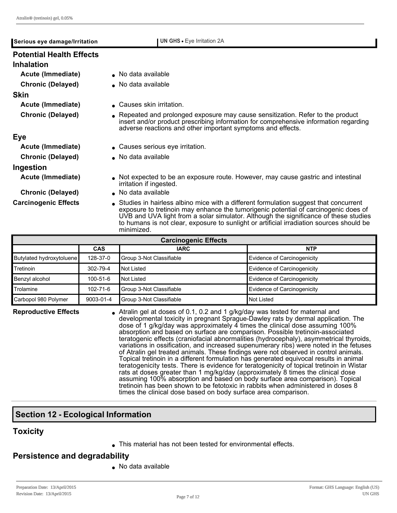| $\frac{1}{2}$ and $\frac{1}{2}$ (abundant) gives 0.00 $\frac{1}{2}$ |                                                                                                                                                                                                                                                                                                                                                                                 |
|---------------------------------------------------------------------|---------------------------------------------------------------------------------------------------------------------------------------------------------------------------------------------------------------------------------------------------------------------------------------------------------------------------------------------------------------------------------|
| Serious eye damage/Irritation                                       | <b>UN GHS •</b> Eye Irritation 2A                                                                                                                                                                                                                                                                                                                                               |
| <b>Potential Health Effects</b>                                     |                                                                                                                                                                                                                                                                                                                                                                                 |
| <b>Inhalation</b>                                                   |                                                                                                                                                                                                                                                                                                                                                                                 |
| Acute (Immediate)                                                   | No data available                                                                                                                                                                                                                                                                                                                                                               |
| <b>Chronic (Delayed)</b>                                            | • No data available                                                                                                                                                                                                                                                                                                                                                             |
| <b>Skin</b>                                                         |                                                                                                                                                                                                                                                                                                                                                                                 |
| Acute (Immediate)                                                   | ▲ Causes skin irritation.                                                                                                                                                                                                                                                                                                                                                       |
| <b>Chronic (Delayed)</b>                                            | • Repeated and prolonged exposure may cause sensitization. Refer to the product<br>insert and/or product prescribing information for comprehensive information regarding<br>adverse reactions and other important symptoms and effects.                                                                                                                                         |
| <b>Eye</b>                                                          |                                                                                                                                                                                                                                                                                                                                                                                 |
| Acute (Immediate)                                                   | • Causes serious eye irritation.                                                                                                                                                                                                                                                                                                                                                |
| <b>Chronic (Delayed)</b>                                            | No data available                                                                                                                                                                                                                                                                                                                                                               |
| Ingestion                                                           |                                                                                                                                                                                                                                                                                                                                                                                 |
| Acute (Immediate)                                                   | • Not expected to be an exposure route. However, may cause gastric and intestinal<br>irritation if ingested.                                                                                                                                                                                                                                                                    |
| <b>Chronic (Delayed)</b>                                            | No data available                                                                                                                                                                                                                                                                                                                                                               |
| <b>Carcinogenic Effects</b>                                         | • Studies in hairless albino mice with a different formulation suggest that concurrent<br>exposure to tretinoin may enhance the tumorigenic potential of carcinogenic does of<br>UVB and UVA light from a solar simulator. Although the significance of these studies<br>to humans is not clear, exposure to sunlight or artificial irradiation sources should be<br>minimized. |

| <b>Carcinogenic Effects</b> |                |                          |                             |  |
|-----------------------------|----------------|--------------------------|-----------------------------|--|
|                             | <b>CAS</b>     | <b>IARC</b>              | <b>NTP</b>                  |  |
| Butylated hydroxytoluene    | 128-37-0       | Group 3-Not Classifiable | Evidence of Carcinogenicity |  |
| Tretinoin                   | 302-79-4       | Not Listed               | Evidence of Carcinogenicity |  |
| Benzyl alcohol              | $100 - 51 - 6$ | Not Listed               | Evidence of Carcinogenicity |  |
| Trolamine                   | $102 - 71 - 6$ | Group 3-Not Classifiable | Evidence of Carcinogenicity |  |
| Carbopol 980 Polymer        | 9003-01-4      | Group 3-Not Classifiable | Not Listed                  |  |

**Reproductive Effects** • Atralin gel at doses of 0.1, 0.2 and 1 g/kg/day was tested for maternal and developmental toxicity in pregnant Sprague-Dawley rats by dermal application. The dose of 1 g/kg/day was approximately 4 times the clinical dose assuming 100% absorption and based on surface are comparison. Possible tretinoin-associated teratogenic effects (craniofacial abnormalities (hydrocephaly), asymmetrical thyroids, variations in ossification, and increased supenumerary ribs) were noted in the fetuses of Atralin gel treated animals. These findings were not observed in control animals. Topical tretinoin in a different formulation has generated equivocal results in animal teratogenicity tests. There is evidence for teratogenicity of topical tretinoin in Wistar rats at doses greater than 1 mg/kg/day (approximately 8 times the clinical dose assuming 100% absorption and based on body surface area comparison). Topical tretinoin has been shown to be fetotoxic in rabbits when administered in doses 8 times the clinical dose based on body surface area comparison.

# **Section 12 Ecological Information**

#### **Toxicity**

**.** This material has not been tested for environmental effects.

#### **Persistence and degradability**

 $\bullet$  No data available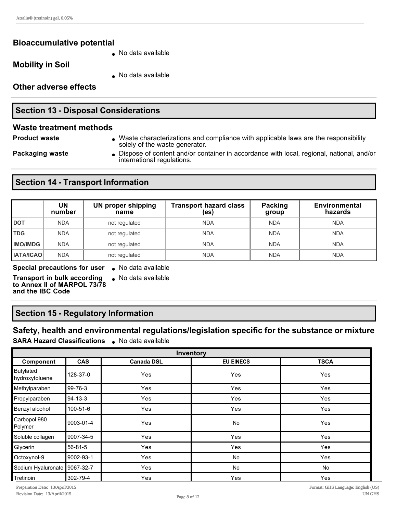#### **Bioaccumulative potential**

**Mobility in Soil**

• No data available

 $\bullet$  No data available

**Other adverse effects**

#### **Section 13 - Disposal Considerations**

#### **Waste treatment methods**

**Product waste lace in Archaracterizations and compliance with applicable laws are the responsibility** solely of the waste generator.

**Packaging waste I** Dispose of content and/or container in accordance with local, regional, national, and/or international regulations.

# **Section 14 - Transport Information**

|                  | UN<br>number | <b>UN proper shipping</b><br>name | <b>Transport hazard class</b><br>(es) | Packing<br>group | <b>Environmental</b><br>hazards |
|------------------|--------------|-----------------------------------|---------------------------------------|------------------|---------------------------------|
| <b>DOT</b>       | <b>NDA</b>   | not regulated                     | <b>NDA</b>                            | <b>NDA</b>       | <b>NDA</b>                      |
| <b>TDG</b>       | <b>NDA</b>   | not regulated                     | <b>NDA</b>                            | <b>NDA</b>       | <b>NDA</b>                      |
| <b>IMO/IMDG</b>  | <b>NDA</b>   | not regulated                     | <b>NDA</b>                            | <b>NDA</b>       | <b>NDA</b>                      |
| <b>IATA/ICAO</b> | <b>NDA</b>   | not regulated                     | <b>NDA</b>                            | <b>NDA</b>       | <b>NDA</b>                      |

**Special precautions for user** . No data available

 $\bullet$  No data available

**Transport in bulk according to Annex II of MARPOL 73/78 and the IBC Code**

#### **Section 15 - Regulatory Information**

#### **Safety, health and environmental regulations/legislation specific for the substance or mixture SARA Hazard Classifications** . No data available

| Inventory                   |            |                   |                  |             |
|-----------------------------|------------|-------------------|------------------|-------------|
| Component                   | <b>CAS</b> | <b>Canada DSL</b> | <b>EU EINECS</b> | <b>TSCA</b> |
| Butylated<br>hydroxytoluene | 128-37-0   | Yes               | Yes              | Yes         |
| Methylparaben               | 99-76-3    | Yes               | Yes              | Yes         |
| Propylparaben               | 94-13-3    | Yes               | Yes              | Yes         |
| Benzyl alcohol              | 100-51-6   | Yes               | Yes              | Yes         |
| Carbopol 980<br>Polymer     | 9003-01-4  | Yes               | <b>No</b>        | Yes         |
| Soluble collagen            | 9007-34-5  | Yes               | Yes              | Yes         |
| Glycerin                    | 56-81-5    | Yes               | Yes              | Yes         |
| Octoxynol-9                 | 9002-93-1  | Yes               | No               | Yes         |
| Sodium Hyaluronate          | 9067-32-7  | Yes               | <b>No</b>        | <b>No</b>   |
| Tretinoin                   | 302-79-4   | Yes               | Yes              | Yes         |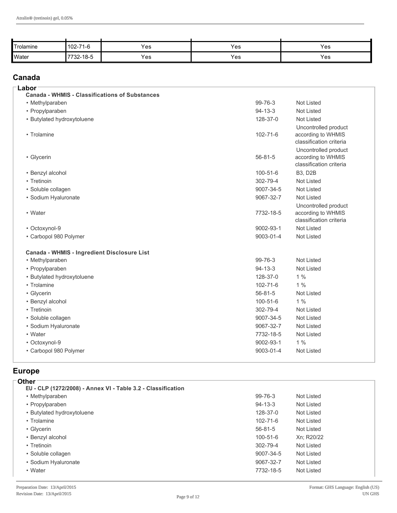| Trolamine    | 102-71-6  | Yes | Yes | Yes |
|--------------|-----------|-----|-----|-----|
| <b>Water</b> | 7732-18-5 | Yes | Yes | Yes |

#### **Canada**

| Labor<br><b>Canada - WHMIS - Classifications of Substances</b> |                |                                                                       |
|----------------------------------------------------------------|----------------|-----------------------------------------------------------------------|
| • Methylparaben                                                | $99 - 76 - 3$  | <b>Not Listed</b>                                                     |
| • Propylparaben                                                | $94 - 13 - 3$  | <b>Not Listed</b>                                                     |
| • Butylated hydroxytoluene                                     | 128-37-0       | Not Listed                                                            |
| • Trolamine                                                    | $102 - 71 - 6$ | Uncontrolled product<br>according to WHMIS<br>classification criteria |
| • Glycerin                                                     | $56 - 81 - 5$  | Uncontrolled product<br>according to WHMIS<br>classification criteria |
| • Benzyl alcohol                                               | $100 - 51 - 6$ | <b>B3, D2B</b>                                                        |
| • Tretinoin                                                    | 302-79-4       | <b>Not Listed</b>                                                     |
| • Soluble collagen                                             | 9007-34-5      | <b>Not Listed</b>                                                     |
| · Sodium Hyaluronate                                           | 9067-32-7      | Not Listed                                                            |
|                                                                |                | Uncontrolled product                                                  |
| • Water                                                        | 7732-18-5      | according to WHMIS<br>classification criteria                         |
| • Octoxynol-9                                                  | 9002-93-1      | <b>Not Listed</b>                                                     |
| • Carbopol 980 Polymer                                         | 9003-01-4      | Not Listed                                                            |
| Canada - WHMIS - Ingredient Disclosure List                    |                |                                                                       |
| • Methylparaben                                                | $99 - 76 - 3$  | Not Listed                                                            |
| • Propylparaben                                                | $94 - 13 - 3$  | <b>Not Listed</b>                                                     |
| • Butylated hydroxytoluene                                     | 128-37-0       | 1%                                                                    |
| • Trolamine                                                    | $102 - 71 - 6$ | 1%                                                                    |
| • Glycerin                                                     | $56 - 81 - 5$  | <b>Not Listed</b>                                                     |
| • Benzyl alcohol                                               | $100 - 51 - 6$ | 1%                                                                    |
| • Tretinoin                                                    | 302-79-4       | Not Listed                                                            |
| • Soluble collagen                                             | 9007-34-5      | <b>Not Listed</b>                                                     |
| · Sodium Hyaluronate                                           | 9067-32-7      | Not Listed                                                            |
| • Water                                                        | 7732-18-5      | Not Listed                                                            |
| • Octoxynol-9                                                  | 9002-93-1      | 1%                                                                    |
| • Carbopol 980 Polymer                                         | 9003-01-4      | Not Listed                                                            |
|                                                                |                |                                                                       |

# **Europe**

| ⊤Other                                                       |                |            |
|--------------------------------------------------------------|----------------|------------|
| EU - CLP (1272/2008) - Annex VI - Table 3.2 - Classification |                |            |
| • Methylparaben                                              | $99 - 76 - 3$  | Not Listed |
| • Propylparaben                                              | $94 - 13 - 3$  | Not Listed |
| • Butylated hydroxytoluene                                   | 128-37-0       | Not Listed |
| • Trolamine                                                  | $102 - 71 - 6$ | Not Listed |
| • Glycerin                                                   | $56 - 81 - 5$  | Not Listed |
| • Benzyl alcohol                                             | $100 - 51 - 6$ | Xn; R20/22 |
| • Tretinoin                                                  | $302 - 79 - 4$ | Not Listed |
| • Soluble collagen                                           | 9007-34-5      | Not Listed |
| • Sodium Hyaluronate                                         | 9067-32-7      | Not Listed |
| • Water                                                      | 7732-18-5      | Not Listed |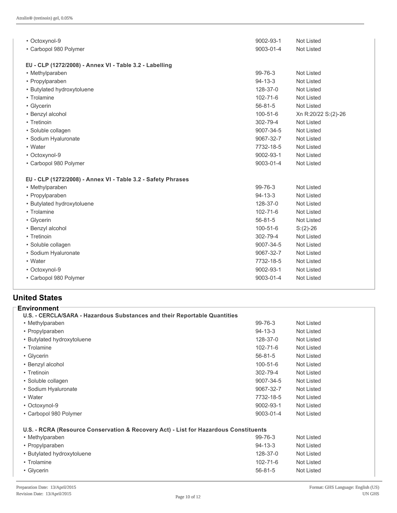| • Octoxynol-9                                                | 9002-93-1      | <b>Not Listed</b>   |
|--------------------------------------------------------------|----------------|---------------------|
| • Carbopol 980 Polymer                                       | 9003-01-4      | <b>Not Listed</b>   |
|                                                              |                |                     |
| EU - CLP (1272/2008) - Annex VI - Table 3.2 - Labelling      |                |                     |
| • Methylparaben                                              | 99-76-3        | <b>Not Listed</b>   |
| • Propylparaben                                              | $94 - 13 - 3$  | <b>Not Listed</b>   |
| • Butylated hydroxytoluene                                   | 128-37-0       | <b>Not Listed</b>   |
| • Trolamine                                                  | $102 - 71 - 6$ | <b>Not Listed</b>   |
| • Glycerin                                                   | $56 - 81 - 5$  | <b>Not Listed</b>   |
| • Benzyl alcohol                                             | 100-51-6       | Xn R:20/22 S:(2)-26 |
| • Tretinoin                                                  | 302-79-4       | <b>Not Listed</b>   |
| • Soluble collagen                                           | 9007-34-5      | <b>Not Listed</b>   |
| • Sodium Hyaluronate                                         | 9067-32-7      | <b>Not Listed</b>   |
| • Water                                                      | 7732-18-5      | <b>Not Listed</b>   |
| • Octoxynol-9                                                | 9002-93-1      | <b>Not Listed</b>   |
| • Carbopol 980 Polymer                                       | 9003-01-4      | Not Listed          |
| EU - CLP (1272/2008) - Annex VI - Table 3.2 - Safety Phrases |                |                     |
| • Methylparaben                                              | $99 - 76 - 3$  | <b>Not Listed</b>   |
| • Propylparaben                                              | $94 - 13 - 3$  | <b>Not Listed</b>   |
| • Butylated hydroxytoluene                                   | 128-37-0       | <b>Not Listed</b>   |
| • Trolamine                                                  | $102 - 71 - 6$ | Not Listed          |
| • Glycerin                                                   | $56 - 81 - 5$  | <b>Not Listed</b>   |
| • Benzyl alcohol                                             | $100 - 51 - 6$ | $S:(2)-26$          |
| • Tretinoin                                                  | 302-79-4       | <b>Not Listed</b>   |
| · Soluble collagen                                           | 9007-34-5      | <b>Not Listed</b>   |
| • Sodium Hyaluronate                                         | 9067-32-7      | <b>Not Listed</b>   |
| • Water                                                      | 7732-18-5      | <b>Not Listed</b>   |
| • Octoxynol-9                                                | 9002-93-1      | Not Listed          |
| • Carbopol 980 Polymer                                       | 9003-01-4      | <b>Not Listed</b>   |
|                                                              |                |                     |

## **United States**

| <b>Environment</b>                                                                   |                |                   |
|--------------------------------------------------------------------------------------|----------------|-------------------|
| U.S. - CERCLA/SARA - Hazardous Substances and their Reportable Quantities            |                |                   |
| • Methylparaben                                                                      | 99-76-3        | Not Listed        |
| • Propylparaben                                                                      | 94-13-3        | Not Listed        |
| • Butylated hydroxytoluene                                                           | 128-37-0       | Not Listed        |
| • Trolamine                                                                          | $102 - 71 - 6$ | Not Listed        |
| • Glycerin                                                                           | $56 - 81 - 5$  | Not Listed        |
| • Benzyl alcohol                                                                     | $100 - 51 - 6$ | Not Listed        |
| • Tretinoin                                                                          | 302-79-4       | Not Listed        |
| • Soluble collagen                                                                   | 9007-34-5      | Not Listed        |
| • Sodium Hyaluronate                                                                 | 9067-32-7      | <b>Not Listed</b> |
| • Water                                                                              | 7732-18-5      | Not Listed        |
| • Octoxynol-9                                                                        | 9002-93-1      | <b>Not Listed</b> |
| • Carbopol 980 Polymer                                                               | 9003-01-4      | Not Listed        |
| U.S. - RCRA (Resource Conservation & Recovery Act) - List for Hazardous Constituents |                |                   |
| • Methylparaben                                                                      | 99-76-3        | Not Listed        |
| • Propylparaben                                                                      | $94 - 13 - 3$  | Not Listed        |
| • Butylated hydroxytoluene                                                           | 128-37-0       | Not Listed        |
| • Trolamine                                                                          | $102 - 71 - 6$ | Not Listed        |
| • Glycerin                                                                           | $56 - 81 - 5$  | Not Listed        |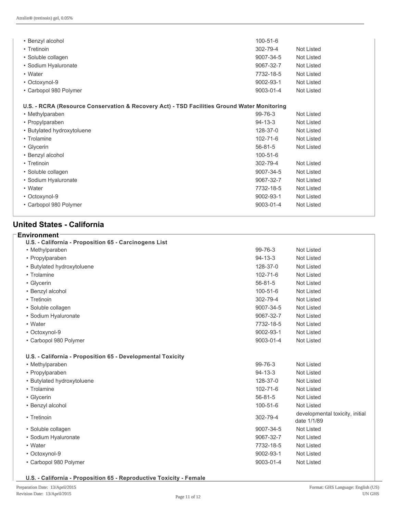| • Benzyl alcohol                                                                            | $100 - 51 - 6$ |                   |
|---------------------------------------------------------------------------------------------|----------------|-------------------|
| • Tretinoin                                                                                 | 302-79-4       | Not Listed        |
| • Soluble collagen                                                                          | 9007-34-5      | <b>Not Listed</b> |
| • Sodium Hyaluronate                                                                        | 9067-32-7      | <b>Not Listed</b> |
| • Water                                                                                     | 7732-18-5      | <b>Not Listed</b> |
| • Octoxynol-9                                                                               | 9002-93-1      | <b>Not Listed</b> |
| • Carbopol 980 Polymer                                                                      | 9003-01-4      | Not Listed        |
|                                                                                             |                |                   |
| U.S. - RCRA (Resource Conservation & Recovery Act) - TSD Facilities Ground Water Monitoring |                |                   |
| • Methylparaben                                                                             | 99-76-3        | Not Listed        |
| • Propylparaben                                                                             | $94 - 13 - 3$  | <b>Not Listed</b> |
| • Butylated hydroxytoluene                                                                  | 128-37-0       | <b>Not Listed</b> |
| • Trolamine                                                                                 | $102 - 71 - 6$ | <b>Not Listed</b> |
| • Glycerin                                                                                  | $56 - 81 - 5$  | Not Listed        |
| • Benzyl alcohol                                                                            | $100 - 51 - 6$ |                   |
| • Tretinoin                                                                                 | 302-79-4       | Not Listed        |
| • Soluble collagen                                                                          | 9007-34-5      | <b>Not Listed</b> |
| • Sodium Hyaluronate                                                                        | 9067-32-7      | <b>Not Listed</b> |
| • Water                                                                                     | 7732-18-5      | <b>Not Listed</b> |
| • Octoxynol-9                                                                               | 9002-93-1      | <b>Not Listed</b> |
| • Carbopol 980 Polymer                                                                      | 9003-01-4      | Not Listed        |
|                                                                                             |                |                   |

# **United States California**

| <b>Environment</b><br>U.S. - California - Proposition 65 - Carcinogens List |                |                                                |
|-----------------------------------------------------------------------------|----------------|------------------------------------------------|
| • Methylparaben                                                             | 99-76-3        | Not Listed                                     |
| • Propylparaben                                                             | $94 - 13 - 3$  | <b>Not Listed</b>                              |
| • Butylated hydroxytoluene                                                  | 128-37-0       | <b>Not Listed</b>                              |
| • Trolamine                                                                 | $102 - 71 - 6$ | Not Listed                                     |
| • Glycerin                                                                  | $56 - 81 - 5$  | <b>Not Listed</b>                              |
| • Benzyl alcohol                                                            | $100 - 51 - 6$ | <b>Not Listed</b>                              |
| • Tretinoin                                                                 | 302-79-4       | Not Listed                                     |
| • Soluble collagen                                                          | 9007-34-5      | Not Listed                                     |
| • Sodium Hyaluronate                                                        | 9067-32-7      | Not Listed                                     |
| • Water                                                                     | 7732-18-5      | <b>Not Listed</b>                              |
| • Octoxynol-9                                                               | 9002-93-1      | <b>Not Listed</b>                              |
| • Carbopol 980 Polymer                                                      | 9003-01-4      | Not Listed                                     |
| U.S. - California - Proposition 65 - Developmental Toxicity                 |                |                                                |
| • Methylparaben                                                             | $99 - 76 - 3$  | <b>Not Listed</b>                              |
| • Propylparaben                                                             | $94 - 13 - 3$  | <b>Not Listed</b>                              |
| • Butylated hydroxytoluene                                                  | 128-37-0       | <b>Not Listed</b>                              |
| • Trolamine                                                                 | $102 - 71 - 6$ | Not Listed                                     |
| • Glycerin                                                                  | $56 - 81 - 5$  | Not Listed                                     |
| • Benzyl alcohol                                                            | $100 - 51 - 6$ | <b>Not Listed</b>                              |
| • Tretinoin                                                                 | 302-79-4       | developmental toxicity, initial<br>date 1/1/89 |
| • Soluble collagen                                                          | 9007-34-5      | <b>Not Listed</b>                              |
| • Sodium Hyaluronate                                                        | 9067-32-7      | Not Listed                                     |
| • Water                                                                     | 7732-18-5      | Not Listed                                     |
| • Octoxynol-9                                                               | 9002-93-1      | Not Listed                                     |
| • Carbopol 980 Polymer                                                      | 9003-01-4      | Not Listed                                     |
|                                                                             |                |                                                |

**U.S. California Proposition 65 Reproductive Toxicity Female**